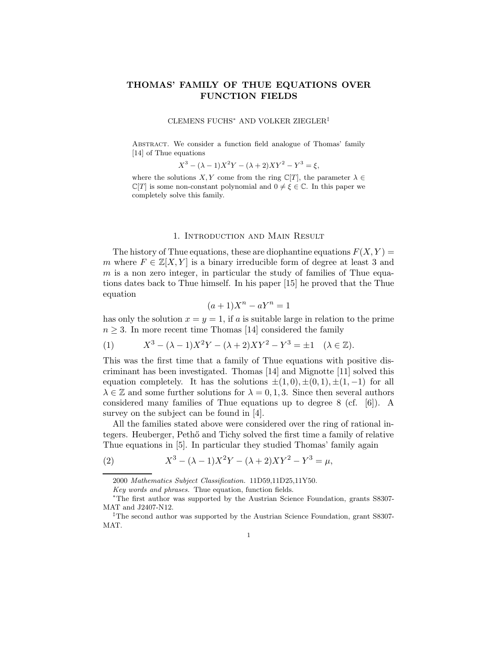# THOMAS' FAMILY OF THUE EQUATIONS OVER FUNCTION FIELDS

## CLEMENS FUCHS<sup>∗</sup> AND VOLKER ZIEGLER‡

Abstract. We consider a function field analogue of Thomas' family [14] of Thue equations

$$
X^{3} - (\lambda - 1)X^{2}Y - (\lambda + 2)XY^{2} - Y^{3} = \xi,
$$

where the solutions X, Y come from the ring  $\mathbb{C}[T]$ , the parameter  $\lambda \in$  $\mathbb{C}[T]$  is some non-constant polynomial and  $0 \neq \xi \in \mathbb{C}$ . In this paper we completely solve this family.

#### 1. Introduction and Main Result

The history of Thue equations, these are diophantine equations  $F(X, Y) =$ m where  $F \in \mathbb{Z}[X, Y]$  is a binary irreducible form of degree at least 3 and  $m$  is a non zero integer, in particular the study of families of Thue equations dates back to Thue himself. In his paper [15] he proved that the Thue equation

$$
(a+1)X^n - aY^n = 1
$$

has only the solution  $x = y = 1$ , if a is suitable large in relation to the prime  $n \geq 3$ . In more recent time Thomas [14] considered the family

(1) 
$$
X^3 - (\lambda - 1)X^2Y - (\lambda + 2)XY^2 - Y^3 = \pm 1 \quad (\lambda \in \mathbb{Z}).
$$

This was the first time that a family of Thue equations with positive discriminant has been investigated. Thomas [14] and Mignotte [11] solved this equation completely. It has the solutions  $\pm(1,0), \pm(0,1), \pm(1,-1)$  for all  $\lambda \in \mathbb{Z}$  and some further solutions for  $\lambda = 0, 1, 3$ . Since then several authors considered many families of Thue equations up to degree 8 (cf. [6]). A survey on the subject can be found in [4].

All the families stated above were considered over the ring of rational integers. Heuberger, Pethő and Tichy solved the first time a family of relative Thue equations in [5]. In particular they studied Thomas' family again

(2) 
$$
X^3 - (\lambda - 1)X^2Y - (\lambda + 2)XY^2 - Y^3 = \mu,
$$

Key words and phrases. Thue equation, function fields.

<sup>2000</sup> Mathematics Subject Classification. 11D59,11D25,11Y50.

<sup>∗</sup>The first author was supported by the Austrian Science Foundation, grants S8307- MAT and J2407-N12.

<sup>‡</sup>The second author was supported by the Austrian Science Foundation, grant S8307- MAT.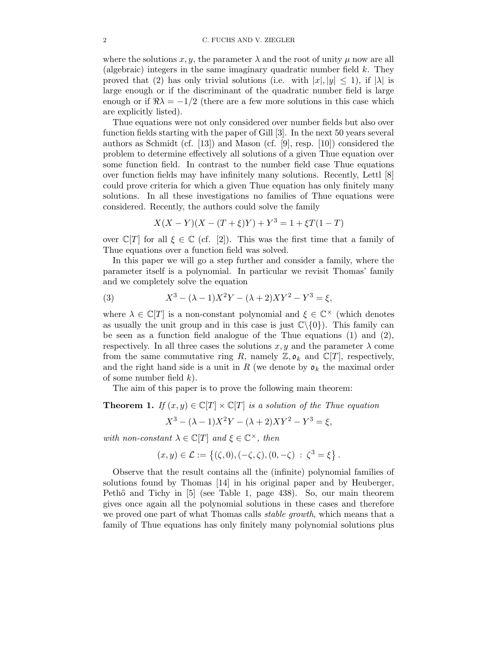where the solutions x, y, the parameter  $\lambda$  and the root of unity  $\mu$  now are all (algebraic) integers in the same imaginary quadratic number field k. They proved that (2) has only trivial solutions (i.e. with  $|x|, |y| \le 1$ ), if  $|\lambda|$  is large enough or if the discriminant of the quadratic number field is large enough or if  $\Re \lambda = -1/2$  (there are a few more solutions in this case which are explicitly listed).

Thue equations were not only considered over number fields but also over function fields starting with the paper of Gill [3]. In the next 50 years several authors as Schmidt (cf. [13]) and Mason (cf. [9], resp. [10]) considered the problem to determine effectively all solutions of a given Thue equation over some function field. In contrast to the number field case Thue equations over function fields may have infinitely many solutions. Recently, Lettl [8] could prove criteria for which a given Thue equation has only finitely many solutions. In all these investigations no families of Thue equations were considered. Recently, the authors could solve the family

$$
X(X - Y)(X - (T + \xi)Y) + Y^3 = 1 + \xi T(1 - T)
$$

over  $\mathbb{C}[T]$  for all  $\xi \in \mathbb{C}$  (cf. [2]). This was the first time that a family of Thue equations over a function field was solved.

In this paper we will go a step further and consider a family, where the parameter itself is a polynomial. In particular we revisit Thomas' family and we completely solve the equation

(3) 
$$
X^3 - (\lambda - 1)X^2Y - (\lambda + 2)XY^2 - Y^3 = \xi,
$$

where  $\lambda \in \mathbb{C}[T]$  is a non-constant polynomial and  $\xi \in \mathbb{C}^\times$  (which denotes as usually the unit group and in this case is just  $\mathbb{C}\setminus\{0\}$ . This family can be seen as a function field analogue of the Thue equations (1) and (2), respectively. In all three cases the solutions  $x, y$  and the parameter  $\lambda$  come from the same commutative ring R, namely  $\mathbb{Z}, \mathfrak{o}_k$  and  $\mathbb{C}[T]$ , respectively, and the right hand side is a unit in R (we denote by  $\mathfrak{o}_k$  the maximal order of some number field  $k$ ).

The aim of this paper is to prove the following main theorem:

**Theorem 1.** If  $(x, y) \in \mathbb{C}[T] \times \mathbb{C}[T]$  is a solution of the Thue equation

$$
X^{3} - (\lambda - 1)X^{2}Y - (\lambda + 2)XY^{2} - Y^{3} = \xi,
$$

with non-constant  $\lambda \in \mathbb{C}[T]$  and  $\xi \in \mathbb{C}^{\times}$ , then

$$
(x, y) \in \mathcal{L} := \{(\zeta, 0), (-\zeta, \zeta), (0, -\zeta) : \zeta^3 = \xi\}.
$$

Observe that the result contains all the (infinite) polynomial families of solutions found by Thomas [14] in his original paper and by Heuberger, Pethő and Tichy in [5] (see Table 1, page 438). So, our main theorem gives once again all the polynomial solutions in these cases and therefore we proved one part of what Thomas calls stable growth, which means that a family of Thue equations has only finitely many polynomial solutions plus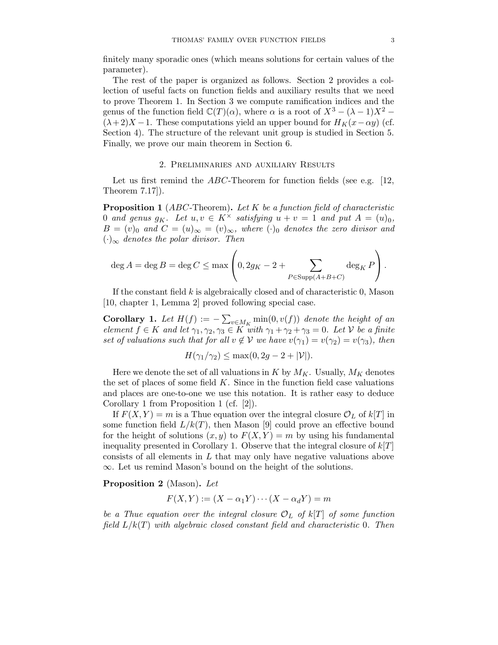finitely many sporadic ones (which means solutions for certain values of the parameter).

The rest of the paper is organized as follows. Section 2 provides a collection of useful facts on function fields and auxiliary results that we need to prove Theorem 1. In Section 3 we compute ramification indices and the genus of the function field  $\mathbb{C}(T)(\alpha)$ , where  $\alpha$  is a root of  $X^3 - (\lambda - 1)X^2$  –  $(\lambda+2)X-1$ . These computations yield an upper bound for  $H_K(x-\alpha y)$  (cf. Section 4). The structure of the relevant unit group is studied in Section 5. Finally, we prove our main theorem in Section 6.

#### 2. Preliminaries and auxiliary Results

Let us first remind the *ABC*-Theorem for function fields (see e.g. [12, Theorem 7.17]).

**Proposition 1** (ABC-Theorem). Let K be a function field of characteristic 0 and genus  $g_K$ . Let  $u, v \in K^\times$  satisfying  $u + v = 1$  and put  $A = (u)_0$ ,  $B = (v)_0$  and  $C = (u)_{\infty} = (v)_{\infty}$ , where  $(\cdot)_0$  denotes the zero divisor and  $(·)$ <sub>∞</sub> denotes the polar divisor. Then

$$
\deg A = \deg B = \deg C \leq \max \left( 0, 2g_K - 2 + \sum_{P \in \text{Supp}(A+B+C)} \deg_K P \right).
$$

If the constant field k is algebraically closed and of characteristic 0, Mason [10, chapter 1, Lemma 2] proved following special case.

**Corollary 1.** Let  $H(f) := -\sum_{v \in M_K} \min(0, v(f))$  denote the height of an element  $f \in K$  and let  $\gamma_1, \gamma_2, \gamma_3 \in K$  with  $\gamma_1 + \gamma_2 + \gamma_3 = 0$ . Let  $\mathcal V$  be a finite set of valuations such that for all  $v \notin V$  we have  $v(\gamma_1) = v(\gamma_2) = v(\gamma_3)$ , then

$$
H(\gamma_1/\gamma_2) \le \max(0, 2g - 2 + |\mathcal{V}|).
$$

Here we denote the set of all valuations in K by  $M_K$ . Usually,  $M_K$  denotes the set of places of some field  $K$ . Since in the function field case valuations and places are one-to-one we use this notation. It is rather easy to deduce Corollary 1 from Proposition 1 (cf. [2]).

If  $F(X, Y) = m$  is a Thue equation over the integral closure  $\mathcal{O}_L$  of  $k[T]$  in some function field  $L/k(T)$ , then Mason [9] could prove an effective bound for the height of solutions  $(x, y)$  to  $F(X, Y) = m$  by using his fundamental inequality presented in Corollary 1. Observe that the integral closure of  $k[T]$ consists of all elements in  $L$  that may only have negative valuations above ∞. Let us remind Mason's bound on the height of the solutions.

Proposition 2 (Mason). Let

$$
F(X,Y) := (X - \alpha_1 Y) \cdots (X - \alpha_d Y) = m
$$

be a Thue equation over the integral closure  $\mathcal{O}_L$  of  $k[T]$  of some function field  $L/k(T)$  with algebraic closed constant field and characteristic 0. Then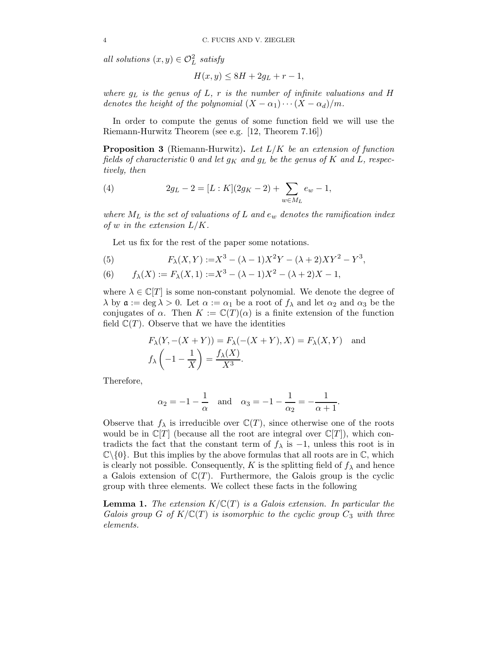all solutions  $(x, y) \in \mathcal{O}_L^2$  satisfy

$$
H(x,y) \le 8H + 2g_L + r - 1,
$$

where  $g_L$  is the genus of  $L$ , r is the number of infinite valuations and H denotes the height of the polynomial  $(X - \alpha_1) \cdots (X - \alpha_d)/m$ .

In order to compute the genus of some function field we will use the Riemann-Hurwitz Theorem (see e.g. [12, Theorem 7.16])

**Proposition 3** (Riemann-Hurwitz). Let  $L/K$  be an extension of function fields of characteristic 0 and let  $g_K$  and  $g_L$  be the genus of K and L, respectively, then

(4) 
$$
2g_L - 2 = [L:K](2g_K - 2) + \sum_{w \in M_L} e_w - 1,
$$

where  $M_L$  is the set of valuations of L and  $e_w$  denotes the ramification index of w in the extension  $L/K$ .

Let us fix for the rest of the paper some notations.

(5) 
$$
F_{\lambda}(X,Y) := X^3 - (\lambda - 1)X^2Y - (\lambda + 2)XY^2 - Y^3,
$$

(6) 
$$
f_{\lambda}(X) := F_{\lambda}(X,1) := X^3 - (\lambda - 1)X^2 - (\lambda + 2)X - 1,
$$

where  $\lambda \in \mathbb{C}[T]$  is some non-constant polynomial. We denote the degree of  $\lambda$  by  $\mathfrak{a} := \deg \lambda > 0$ . Let  $\alpha := \alpha_1$  be a root of  $f_{\lambda}$  and let  $\alpha_2$  and  $\alpha_3$  be the conjugates of  $\alpha$ . Then  $K := \mathbb{C}(T)(\alpha)$  is a finite extension of the function field  $\mathbb{C}(T)$ . Observe that we have the identities

$$
F_{\lambda}(Y, -(X+Y)) = F_{\lambda}(-(X+Y), X) = F_{\lambda}(X, Y) \text{ and}
$$

$$
f_{\lambda}\left(-1 - \frac{1}{X}\right) = \frac{f_{\lambda}(X)}{X^3}.
$$

Therefore,

$$
\alpha_2 = -1 - \frac{1}{\alpha}
$$
 and  $\alpha_3 = -1 - \frac{1}{\alpha_2} = -\frac{1}{\alpha + 1}$ .

Observe that  $f_{\lambda}$  is irreducible over  $\mathbb{C}(T)$ , since otherwise one of the roots would be in  $\mathbb{C}[T]$  (because all the root are integral over  $\mathbb{C}[T]$ ), which contradicts the fact that the constant term of  $f_{\lambda}$  is  $-1$ , unless this root is in  $\mathbb{C}\setminus\{0\}$ . But this implies by the above formulas that all roots are in  $\mathbb{C}$ , which is clearly not possible. Consequently, K is the splitting field of  $f_{\lambda}$  and hence a Galois extension of  $\mathbb{C}(T)$ . Furthermore, the Galois group is the cyclic group with three elements. We collect these facts in the following

**Lemma 1.** The extension  $K/\mathbb{C}(T)$  is a Galois extension. In particular the Galois group G of  $K/\mathbb{C}(T)$  is isomorphic to the cyclic group  $C_3$  with three elements.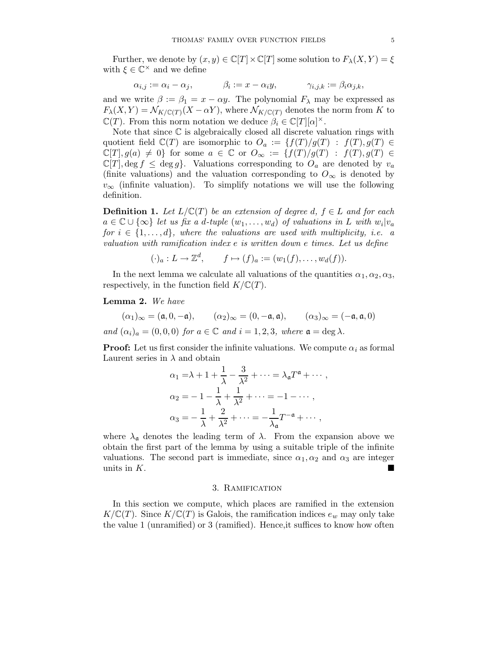Further, we denote by  $(x, y) \in \mathbb{C}[T] \times \mathbb{C}[T]$  some solution to  $F_{\lambda}(X, Y) = \xi$ with  $\xi \in \mathbb{C}^{\times}$  and we define

$$
\alpha_{i,j} := \alpha_i - \alpha_j, \qquad \qquad \beta_i := x - \alpha_i y, \qquad \qquad \gamma_{i,j,k} := \beta_i \alpha_{j,k},
$$

and we write  $\beta := \beta_1 = x - \alpha y$ . The polynomial  $F_\lambda$  may be expressed as  $F_{\lambda}(X,Y) = \mathcal{N}_{K/\mathbb{C}(T)}(X-\alpha Y),$  where  $\mathcal{N}_{K/\mathbb{C}(T)}$  denotes the norm from K to  $\mathbb{C}(T)$ . From this norm notation we deduce  $\beta_i \in \mathbb{C}[T][\alpha]^{\times}$ .

Note that since  $\mathbb C$  is algebraically closed all discrete valuation rings with quotient field  $\mathbb{C}(T)$  are isomorphic to  $O_a := \{f(T)/g(T) : f(T), g(T) \in$  $\mathbb{C}[T], g(a) \neq 0$  for some  $a \in \mathbb{C}$  or  $O_{\infty} := \{f(T)/g(T) : f(T), g(T) \in$  $\mathbb{C}[T], \deg f \leq \deg g$ . Valuations corresponding to  $O_a$  are denoted by  $v_a$ (finite valuations) and the valuation corresponding to  $O_{\infty}$  is denoted by  $v_{\infty}$  (infinite valuation). To simplify notations we will use the following definition.

**Definition 1.** Let  $L/\mathbb{C}(T)$  be an extension of degree d,  $f \in L$  and for each  $a \in \mathbb{C} \cup \{\infty\}$  let us fix a d-tuple  $(w_1, \ldots, w_d)$  of valuations in L with  $w_i|v_a$ for  $i \in \{1, \ldots, d\}$ , where the valuations are used with multiplicity, i.e. a valuation with ramification index e is written down e times. Let us define

$$
(\cdot)_a: L \to \mathbb{Z}^d, \qquad f \mapsto (f)_a := (w_1(f), \dots, w_d(f)).
$$

In the next lemma we calculate all valuations of the quantities  $\alpha_1, \alpha_2, \alpha_3$ , respectively, in the function field  $K/\mathbb{C}(T)$ .

Lemma 2. We have

$$
(\alpha_1)_{\infty} = (\mathfrak{a}, 0, -\mathfrak{a}), \qquad (\alpha_2)_{\infty} = (0, -\mathfrak{a}, \mathfrak{a}), \qquad (\alpha_3)_{\infty} = (-\mathfrak{a}, \mathfrak{a}, 0)
$$

and  $(\alpha_i)_a = (0, 0, 0)$  for  $a \in \mathbb{C}$  and  $i = 1, 2, 3$ , where  $\mathfrak{a} = \deg \lambda$ .

**Proof:** Let us first consider the infinite valuations. We compute  $\alpha_i$  as formal Laurent series in  $\lambda$  and obtain

$$
\alpha_1 = \lambda + 1 + \frac{1}{\lambda} - \frac{3}{\lambda^2} + \dots = \lambda_{\mathfrak{a}} T^{\mathfrak{a}} + \dots,
$$
  
\n
$$
\alpha_2 = -1 - \frac{1}{\lambda} + \frac{1}{\lambda^2} + \dots = -1 - \dots,
$$
  
\n
$$
\alpha_3 = -\frac{1}{\lambda} + \frac{2}{\lambda^2} + \dots = -\frac{1}{\lambda_{\mathfrak{a}}} T^{-\mathfrak{a}} + \dots,
$$

where  $\lambda_{\mathfrak{a}}$  denotes the leading term of  $\lambda$ . From the expansion above we obtain the first part of the lemma by using a suitable triple of the infinite valuations. The second part is immediate, since  $\alpha_1, \alpha_2$  and  $\alpha_3$  are integer units in  $K$ .

## 3. Ramification

In this section we compute, which places are ramified in the extension  $K/\mathbb{C}(T)$ . Since  $K/\mathbb{C}(T)$  is Galois, the ramification indices  $e_w$  may only take the value 1 (unramified) or 3 (ramified). Hence,it suffices to know how often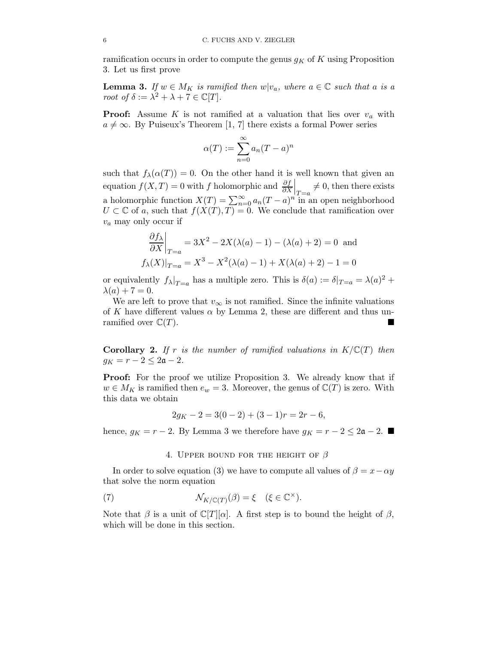ramification occurs in order to compute the genus  $g_K$  of K using Proposition 3. Let us first prove

**Lemma 3.** If  $w \in M_K$  is ramified then  $w|v_a$ , where  $a \in \mathbb{C}$  such that a is a root of  $\delta := \lambda^2 + \lambda + 7 \in \mathbb{C}[T]$ .

**Proof:** Assume K is not ramified at a valuation that lies over  $v_a$  with  $a \neq \infty$ . By Puiseux's Theorem [1, 7] there exists a formal Power series

$$
\alpha(T) := \sum_{n=0}^{\infty} a_n (T - a)^n
$$

such that  $f_{\lambda}(\alpha(T)) = 0$ . On the other hand it is well known that given an equation  $f(X,T) = 0$  with f holomorphic and  $\frac{\partial f}{\partial X}\Big|_{T=a} \neq 0$ , then there exists a holomorphic function  $X(T) = \sum_{n=0}^{\infty} a_n (T - a)^n$  in an open neighborhood  $U \subset \mathbb{C}$  of a, such that  $f(X(T), T) = 0$ . We conclude that ramification over  $v_a$  may only occur if

$$
\frac{\partial f_{\lambda}}{\partial X}\Big|_{T=a} = 3X^2 - 2X(\lambda(a) - 1) - (\lambda(a) + 2) = 0 \text{ and}
$$
  

$$
f_{\lambda}(X)\Big|_{T=a} = X^3 - X^2(\lambda(a) - 1) + X(\lambda(a) + 2) - 1 = 0
$$

or equivalently  $f_{\lambda}|_{T=a}$  has a multiple zero. This is  $\delta(a) := \delta|_{T=a} = \lambda(a)^2 +$  $\lambda(a) + 7 = 0.$ 

We are left to prove that  $v_{\infty}$  is not ramified. Since the infinite valuations of K have different values  $\alpha$  by Lemma 2, these are different and thus unramified over  $\mathbb{C}(T)$ .

**Corollary 2.** If r is the number of ramified valuations in  $K/\mathbb{C}(T)$  then  $g_K = r - 2 \leq 2a - 2$ .

**Proof:** For the proof we utilize Proposition 3. We already know that if  $w \in M_K$  is ramified then  $e_w = 3$ . Moreover, the genus of  $\mathbb{C}(T)$  is zero. With this data we obtain

$$
2g_K - 2 = 3(0 - 2) + (3 - 1)r = 2r - 6,
$$

hence,  $g_K = r - 2$ . By Lemma 3 we therefore have  $g_K = r - 2 \leq 2a - 2$ .

#### 4. UPPER BOUND FOR THE HEIGHT OF  $\beta$

In order to solve equation (3) we have to compute all values of  $\beta = x - \alpha y$ that solve the norm equation

(7) 
$$
\mathcal{N}_{K/\mathbb{C}(T)}(\beta) = \xi \quad (\xi \in \mathbb{C}^{\times}).
$$

Note that  $\beta$  is a unit of  $\mathbb{C}[T][\alpha]$ . A first step is to bound the height of  $\beta$ , which will be done in this section.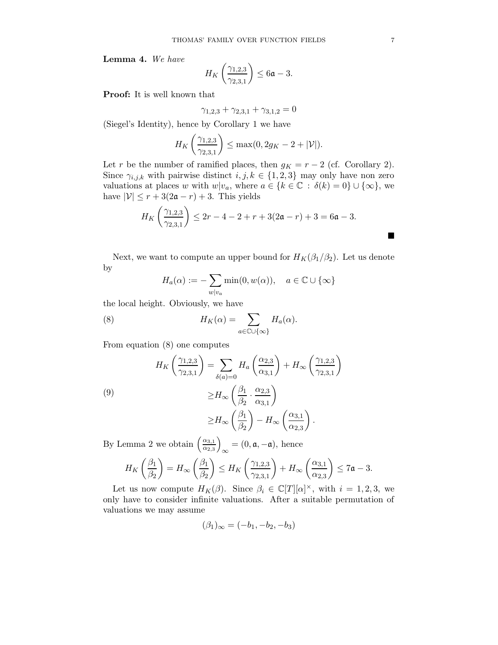Lemma 4. We have

$$
H_K\left(\frac{\gamma_{1,2,3}}{\gamma_{2,3,1}}\right) \leq 6\mathfrak{a} - 3.
$$

Proof: It is well known that

$$
\gamma_{1,2,3} + \gamma_{2,3,1} + \gamma_{3,1,2} = 0
$$

(Siegel's Identity), hence by Corollary 1 we have

$$
H_K\left(\frac{\gamma_{1,2,3}}{\gamma_{2,3,1}}\right) \le \max(0, 2g_K - 2 + |\mathcal{V}|).
$$

Let r be the number of ramified places, then  $g_K = r - 2$  (cf. Corollary 2). Since  $\gamma_{i,j,k}$  with pairwise distinct  $i, j, k \in \{1, 2, 3\}$  may only have non zero valuations at places w with  $w|v_a$ , where  $a \in \{k \in \mathbb{C} : \delta(k) = 0\} \cup \{\infty\}$ , we have  $|\mathcal{V}| \le r + 3(2\mathfrak{a} - r) + 3$ . This yields

$$
H_K\left(\frac{\gamma_{1,2,3}}{\gamma_{2,3,1}}\right) \le 2r - 4 - 2 + r + 3(2\mathfrak{a} - r) + 3 = 6\mathfrak{a} - 3.
$$

Next, we want to compute an upper bound for  $H_K(\beta_1/\beta_2)$ . Let us denote by

$$
H_a(\alpha) := -\sum_{w \mid v_a} \min(0, w(\alpha)), \quad a \in \mathbb{C} \cup \{\infty\}
$$

the local height. Obviously, we have

(8) 
$$
H_K(\alpha) = \sum_{a \in \mathbb{C} \cup \{\infty\}} H_a(\alpha).
$$

From equation (8) one computes

(9)  

$$
H_K\left(\frac{\gamma_{1,2,3}}{\gamma_{2,3,1}}\right) = \sum_{\delta(a)=0} H_a\left(\frac{\alpha_{2,3}}{\alpha_{3,1}}\right) + H_\infty\left(\frac{\gamma_{1,2,3}}{\gamma_{2,3,1}}\right)
$$

$$
\geq H_\infty\left(\frac{\beta_1}{\beta_2}\cdot\frac{\alpha_{2,3}}{\alpha_{3,1}}\right)
$$

$$
\geq H_\infty\left(\frac{\beta_1}{\beta_2}\right) - H_\infty\left(\frac{\alpha_{3,1}}{\alpha_{2,3}}\right).
$$

By Lemma 2 we obtain  $\left(\frac{\alpha_{3,1}}{\alpha_{3,2}}\right)$  $\frac{\alpha_{3,1}}{\alpha_{2,3}}$  $_{\infty} = (0, \mathfrak{a}, -\mathfrak{a}), \text{ hence}$ 

$$
H_K\left(\frac{\beta_1}{\beta_2}\right) = H_\infty\left(\frac{\beta_1}{\beta_2}\right) \le H_K\left(\frac{\gamma_{1,2,3}}{\gamma_{2,3,1}}\right) + H_\infty\left(\frac{\alpha_{3,1}}{\alpha_{2,3}}\right) \le 7\mathfrak{a} - 3.
$$

Let us now compute  $H_K(\beta)$ . Since  $\beta_i \in \mathbb{C}[T][\alpha]^{\times}$ , with  $i = 1, 2, 3$ , we only have to consider infinite valuations. After a suitable permutation of valuations we may assume

$$
(\beta_1)_{\infty} = (-b_1, -b_2, -b_3)
$$

 $\blacksquare$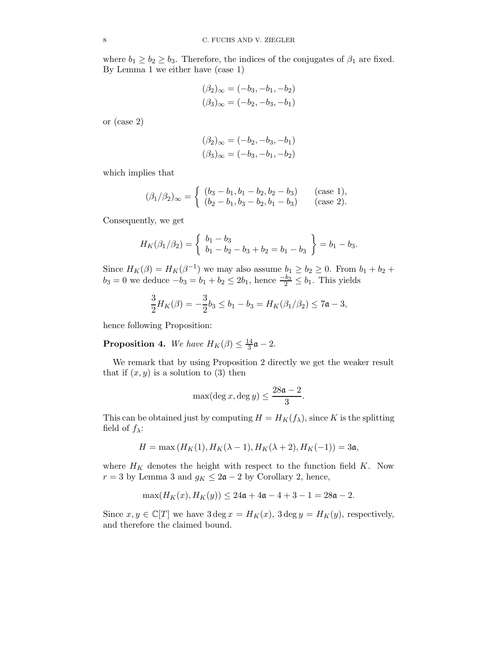where  $b_1 \geq b_2 \geq b_3$ . Therefore, the indices of the conjugates of  $\beta_1$  are fixed. By Lemma 1 we either have (case 1)

$$
(\beta_2)_{\infty} = (-b_3, -b_1, -b_2)
$$
  

$$
(\beta_3)_{\infty} = (-b_2, -b_3, -b_1)
$$

or (case 2)

$$
(\beta_2)_{\infty} = (-b_2, -b_3, -b_1)
$$
  

$$
(\beta_3)_{\infty} = (-b_3, -b_1, -b_2)
$$

which implies that

$$
(\beta_1/\beta_2)_{\infty} = \begin{cases} (b_3 - b_1, b_1 - b_2, b_2 - b_3) & \text{(case 1)},\\ (b_2 - b_1, b_3 - b_2, b_1 - b_3) & \text{(case 2)}. \end{cases}
$$

Consequently, we get

$$
H_K(\beta_1/\beta_2) = \left\{ \begin{array}{c} b_1 - b_3 \\ b_1 - b_2 - b_3 + b_2 = b_1 - b_3 \end{array} \right\} = b_1 - b_3.
$$

Since  $H_K(\beta) = H_K(\beta^{-1})$  we may also assume  $b_1 \geq b_2 \geq 0$ . From  $b_1 + b_2 +$  $b_3 = 0$  we deduce  $-b_3 = b_1 + b_2 \le 2b_1$ , hence  $\frac{-b_3}{2} \le b_1$ . This yields

$$
\frac{3}{2}H_K(\beta) = -\frac{3}{2}b_3 \le b_1 - b_3 = H_K(\beta_1/\beta_2) \le 7\mathfrak{a} - 3,
$$

hence following Proposition:

**Proposition 4.** We have  $H_K(\beta) \leq \frac{14}{3}$  $\frac{14}{3}a - 2.$ 

We remark that by using Proposition 2 directly we get the weaker result that if  $(x, y)$  is a solution to (3) then

$$
\max(\deg x, \deg y) \le \frac{28\mathfrak{a} - 2}{3}.
$$

This can be obtained just by computing  $H = H_K(f_\lambda)$ , since K is the splitting field of  $f_{\lambda}$ :

$$
H = \max(H_K(1), H_K(\lambda - 1), H_K(\lambda + 2), H_K(-1)) = 3a,
$$

where  $H_K$  denotes the height with respect to the function field K. Now  $r = 3$  by Lemma 3 and  $g_K \leq 2a - 2$  by Corollary 2, hence,

$$
\max(H_K(x), H_K(y)) \le 24a + 4a - 4 + 3 - 1 = 28a - 2.
$$

Since  $x, y \in \mathbb{C}[T]$  we have  $3 \deg x = H_K(x)$ ,  $3 \deg y = H_K(y)$ , respectively, and therefore the claimed bound.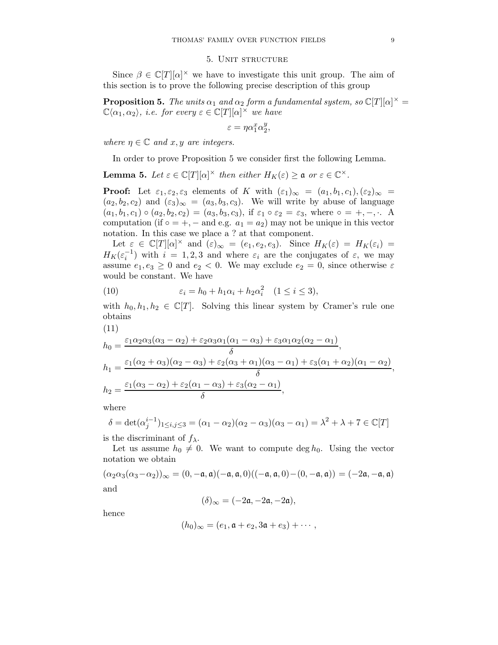## 5. UNIT STRUCTURE

Since  $\beta \in \mathbb{C}[T][\alpha]^{\times}$  we have to investigate this unit group. The aim of this section is to prove the following precise description of this group

**Proposition 5.** The units  $\alpha_1$  and  $\alpha_2$  form a fundamental system, so  $\mathbb{C}[T][\alpha]^\times$  =  $\mathbb{C}\langle \alpha_1, \alpha_2 \rangle$ , i.e. for every  $\varepsilon \in \mathbb{C}[T][\alpha]^\times$  we have

$$
\varepsilon = \eta \alpha_1^x \alpha_2^y,
$$

where  $\eta \in \mathbb{C}$  and  $x, y$  are integers.

In order to prove Proposition 5 we consider first the following Lemma.

**Lemma 5.** Let  $\varepsilon \in \mathbb{C}[T][\alpha]^{\times}$  then either  $H_K(\varepsilon) \geq \mathfrak{a}$  or  $\varepsilon \in \mathbb{C}^{\times}$ .

**Proof:** Let  $\varepsilon_1, \varepsilon_2, \varepsilon_3$  elements of K with  $(\varepsilon_1)_{\infty} = (a_1, b_1, c_1), (\varepsilon_2)_{\infty} =$  $(a_2, b_2, c_2)$  and  $(\varepsilon_3)_{\infty} = (a_3, b_3, c_3)$ . We will write by abuse of language  $(a_1, b_1, c_1) \circ (a_2, b_2, c_2) = (a_3, b_3, c_3), \text{ if } \varepsilon_1 \circ \varepsilon_2 = \varepsilon_3, \text{ where } \varepsilon_3 = +, -, \dots \text{ A}$ computation (if ∘ = +, – and e.g.  $a_1 = a_2$ ) may not be unique in this vector notation. In this case we place a ? at that component.

Let  $\varepsilon \in \mathbb{C}[T][\alpha]^{\times}$  and  $(\varepsilon)_{\infty} = (e_1, e_2, e_3)$ . Since  $H_K(\varepsilon) = H_K(\varepsilon_i) =$  $H_K(\varepsilon_i^{-1})$  with  $i = 1, 2, 3$  and where  $\varepsilon_i$  are the conjugates of  $\varepsilon$ , we may assume  $e_1, e_3 \geq 0$  and  $e_2 < 0$ . We may exclude  $e_2 = 0$ , since otherwise  $\varepsilon$ would be constant. We have

(10) 
$$
\varepsilon_i = h_0 + h_1 \alpha_i + h_2 \alpha_i^2 \quad (1 \leq i \leq 3),
$$

with  $h_0, h_1, h_2 \in \mathbb{C}[T]$ . Solving this linear system by Cramer's rule one obtains

(11)  
\n
$$
h_0 = \frac{\varepsilon_1 \alpha_2 \alpha_3 (\alpha_3 - \alpha_2) + \varepsilon_2 \alpha_3 \alpha_1 (\alpha_1 - \alpha_3) + \varepsilon_3 \alpha_1 \alpha_2 (\alpha_2 - \alpha_1)}{\delta},
$$
\n
$$
h_1 = \frac{\varepsilon_1 (\alpha_2 + \alpha_3) (\alpha_2 - \alpha_3) + \varepsilon_2 (\alpha_3 + \alpha_1) (\alpha_3 - \alpha_1) + \varepsilon_3 (\alpha_1 + \alpha_2) (\alpha_1 - \alpha_2)}{\delta},
$$
\n
$$
h_2 = \frac{\varepsilon_1 (\alpha_3 - \alpha_2) + \varepsilon_2 (\alpha_1 - \alpha_3) + \varepsilon_3 (\alpha_2 - \alpha_1)}{\delta},
$$

where

$$
\delta = \det(\alpha_j^{i-1})_{1 \le i,j \le 3} = (\alpha_1 - \alpha_2)(\alpha_2 - \alpha_3)(\alpha_3 - \alpha_1) = \lambda^2 + \lambda + 7 \in \mathbb{C}[T]
$$

is the discriminant of  $f_{\lambda}$ .

Let us assume  $h_0 \neq 0$ . We want to compute deg  $h_0$ . Using the vector notation we obtain

 $(\alpha_2 \alpha_3(\alpha_3-\alpha_2))_{\infty} = (0, -\mathfrak{a}, \mathfrak{a})(-\mathfrak{a}, \mathfrak{a}, 0)((-\mathfrak{a}, \mathfrak{a}, 0) - (0, -\mathfrak{a}, \mathfrak{a})) = (-2\mathfrak{a}, -\mathfrak{a}, \mathfrak{a})$ and

$$
(\delta)_{\infty}=(-2\mathfrak{a},-2\mathfrak{a},-2\mathfrak{a}),
$$

hence

$$
(h_0)_{\infty} = (e_1, \mathfrak{a} + e_2, 3\mathfrak{a} + e_3) + \cdots,
$$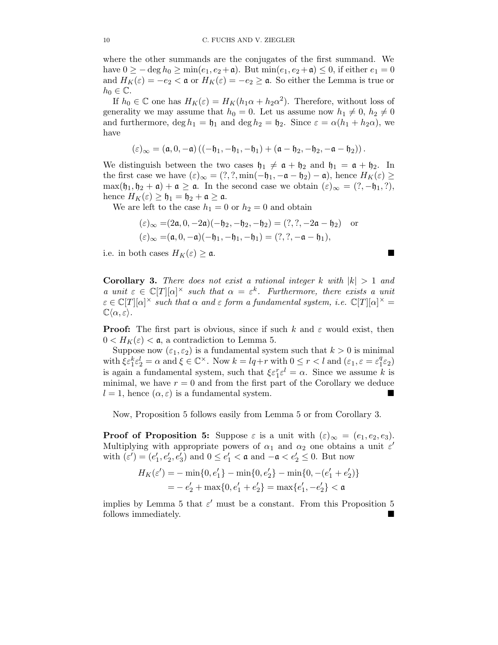where the other summands are the conjugates of the first summand. We have  $0 \ge -\deg h_0 \ge \min(e_1, e_2 + \mathfrak{a})$ . But  $\min(e_1, e_2 + \mathfrak{a}) \le 0$ , if either  $e_1 = 0$ and  $H_K(\varepsilon) = -e_2 < \mathfrak{a}$  or  $H_K(\varepsilon) = -e_2 \geq \mathfrak{a}$ . So either the Lemma is true or  $h_0 \in \mathbb{C}$ .

If  $h_0 \in \mathbb{C}$  one has  $H_K(\varepsilon) = H_K(h_1\alpha + h_2\alpha^2)$ . Therefore, without loss of generality we may assume that  $h_0 = 0$ . Let us assume now  $h_1 \neq 0$ ,  $h_2 \neq 0$ and furthermore, deg  $h_1 = \mathfrak{h}_1$  and deg  $h_2 = \mathfrak{h}_2$ . Since  $\varepsilon = \alpha(h_1 + h_2\alpha)$ , we have

$$
(\varepsilon)_{\infty} = (\mathfrak{a}, 0, -\mathfrak{a})\left((-\mathfrak{h}_1, -\mathfrak{h}_1, -\mathfrak{h}_1) + (\mathfrak{a} - \mathfrak{h}_2, -\mathfrak{h}_2, -\mathfrak{a} - \mathfrak{h}_2)\right).
$$

We distinguish between the two cases  $\mathfrak{h}_1 \neq \mathfrak{a} + \mathfrak{h}_2$  and  $\mathfrak{h}_1 = \mathfrak{a} + \mathfrak{h}_2$ . In the first case we have  $(\varepsilon)_{\infty} = (?,?, \min(-\mathfrak{h}_1, -\mathfrak{a} - \mathfrak{h}_2) - \mathfrak{a}),$  hence  $H_K(\varepsilon) \geq$  $\max(\mathfrak{h}_1, \mathfrak{h}_2 + \mathfrak{a}) + \mathfrak{a} \geq \mathfrak{a}$ . In the second case we obtain  $(\varepsilon)_{\infty} = (?, -\mathfrak{h}_1, ?),$ hence  $H_K(\varepsilon) \geq \mathfrak{h}_1 = \mathfrak{h}_2 + \mathfrak{a} \geq \mathfrak{a}.$ 

We are left to the case  $h_1 = 0$  or  $h_2 = 0$  and obtain

$$
(\varepsilon)_{\infty} = (2\mathfrak{a}, 0, -2\mathfrak{a})(-\mathfrak{h}_2, -\mathfrak{h}_2, -\mathfrak{h}_2) = (?, ?, -2\mathfrak{a} - \mathfrak{h}_2) \text{ or }
$$
  

$$
(\varepsilon)_{\infty} = (\mathfrak{a}, 0, -\mathfrak{a})(-\mathfrak{h}_1, -\mathfrak{h}_1, -\mathfrak{h}_1) = (?, ?, -\mathfrak{a} - \mathfrak{h}_1),
$$

i.e. in both cases  $H_K(\varepsilon) \geq \mathfrak{a}$ .

**Corollary 3.** There does not exist a rational integer k with  $|k| > 1$  and a unit  $\varepsilon \in \mathbb{C}[T][\alpha]^{\times}$  such that  $\alpha = \varepsilon^{k}$ . Furthermore, there exists a unit  $\varepsilon \in \mathbb{C}[T][\alpha]^{\times}$  such that  $\alpha$  and  $\varepsilon$  form a fundamental system, i.e.  $\mathbb{C}[T][\alpha]^{\times} =$  $\mathbb{C}\langle \alpha,\varepsilon\rangle.$ 

**Proof:** The first part is obvious, since if such k and  $\varepsilon$  would exist, then  $0 < H_K(\varepsilon) < \mathfrak{a}$ , a contradiction to Lemma 5.

Suppose now  $(\varepsilon_1, \varepsilon_2)$  is a fundamental system such that  $k > 0$  is minimal with  $\xi \varepsilon_1^k \varepsilon_2^l = \alpha$  and  $\xi \in \mathbb{C}^\times$ . Now  $k = lq + r$  with  $0 \le r < l$  and  $(\varepsilon_1, \varepsilon = \varepsilon_1^q)$  $\binom{q}{1} \varepsilon_2$ is again a fundamental system, such that  $\xi \varepsilon_1^r \varepsilon^l = \alpha$ . Since we assume k is minimal, we have  $r = 0$  and from the first part of the Corollary we deduce  $l = 1$ , hence  $(\alpha, \varepsilon)$  is a fundamental system.

Now, Proposition 5 follows easily from Lemma 5 or from Corollary 3.

**Proof of Proposition 5:** Suppose  $\varepsilon$  is a unit with  $(\varepsilon)_{\infty} = (e_1, e_2, e_3)$ . Multiplying with appropriate powers of  $\alpha_1$  and  $\alpha_2$  one obtains a unit  $\varepsilon'$ with  $(\varepsilon') = (e'_1, e'_2, e'_3)$  and  $0 \le e'_1 < \mathfrak{a}$  and  $-\mathfrak{a} < e'_2 \le 0$ . But now

$$
H_K(\varepsilon') = -\min\{0, e'_1\} - \min\{0, e'_2\} - \min\{0, -(e'_1 + e'_2)\}\
$$

$$
= -e'_2 + \max\{0, e'_1 + e'_2\} = \max\{e'_1, -e'_2\} < \mathfrak{a}
$$

implies by Lemma 5 that  $\varepsilon'$  must be a constant. From this Proposition 5 follows immediately.

$$
\blacksquare
$$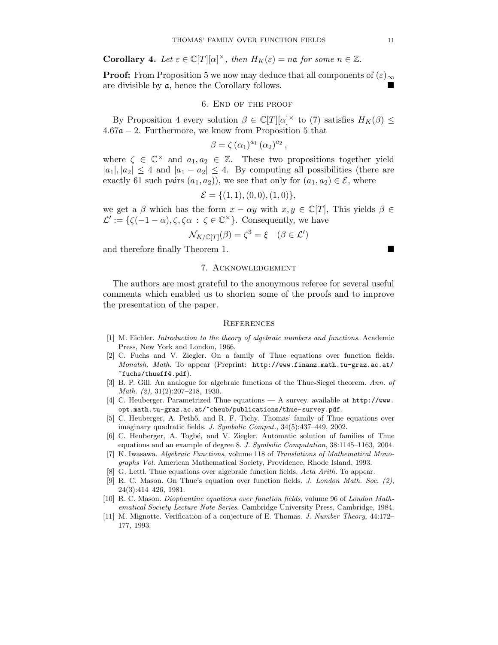**Corollary 4.** Let  $\varepsilon \in \mathbb{C}[T][\alpha]^{\times}$ , then  $H_K(\varepsilon) = n\mathfrak{a}$  for some  $n \in \mathbb{Z}$ .

**Proof:** From Proposition 5 we now may deduce that all components of  $(\varepsilon)_{\infty}$ are divisible by a, hence the Corollary follows.

6. End of the proof

By Proposition 4 every solution  $\beta \in \mathbb{C}[T][\alpha]^{\times}$  to (7) satisfies  $H_K(\beta) \leq$  $4.67a - 2$ . Furthermore, we know from Proposition 5 that

$$
\beta = \zeta (\alpha_1)^{a_1} (\alpha_2)^{a_2},
$$

where  $\zeta \in \mathbb{C}^\times$  and  $a_1, a_2 \in \mathbb{Z}$ . These two propositions together yield  $|a_1|, |a_2| \leq 4$  and  $|a_1 - a_2| \leq 4$ . By computing all possibilities (there are exactly 61 such pairs  $(a_1, a_2)$ , we see that only for  $(a_1, a_2) \in \mathcal{E}$ , where

$$
\mathcal{E} = \{(1,1), (0,0), (1,0)\},\
$$

we get a  $\beta$  which has the form  $x - \alpha y$  with  $x, y \in \mathbb{C}[T]$ , This yields  $\beta \in$  $\mathcal{L}' := \{ \zeta(-1-\alpha), \zeta, \zeta\alpha \, : \, \zeta \in \mathbb{C}^\times \}.$  Consequently, we have

$$
\mathcal{N}_{K/\mathbb{C}[T]}(\beta) = \zeta^3 = \xi \quad (\beta \in \mathcal{L}')
$$

and therefore finally Theorem 1.

# 7. Acknowledgement

The authors are most grateful to the anonymous referee for several useful comments which enabled us to shorten some of the proofs and to improve the presentation of the paper.

#### **REFERENCES**

- [1] M. Eichler. Introduction to the theory of algebraic numbers and functions. Academic Press, New York and London, 1966.
- [2] C. Fuchs and V. Ziegler. On a family of Thue equations over function fields. Monatsh. Math. To appear (Preprint: http://www.finanz.math.tu-graz.ac.at/ ~fuchs/thueff4.pdf).
- [3] B. P. Gill. An analogue for algebraic functions of the Thue-Siegel theorem. Ann. of Math. (2), 31(2):207–218, 1930.
- [4] C. Heuberger. Parametrized Thue equations A survey. available at http://www. opt.math.tu-graz.ac.at/~cheub/publications/thue-survey.pdf.
- [5] C. Heuberger, A. Pethő, and R. F. Tichy. Thomas' family of Thue equations over imaginary quadratic fields. J. Symbolic Comput., 34(5):437–449, 2002.
- [6] C. Heuberger, A. Togb´e, and V. Ziegler. Automatic solution of families of Thue equations and an example of degree 8. J. Symbolic Computation, 38:1145–1163, 2004.
- [7] K. Iwasawa. Algebraic Functions, volume 118 of Translations of Mathematical Monographs Vol. American Mathematical Society, Providence, Rhode Island, 1993.
- [8] G. Lettl. Thue equations over algebraic function fields. Acta Arith. To appear.
- [9] R. C. Mason. On Thue's equation over function fields. J. London Math. Soc. (2), 24(3):414–426, 1981.
- [10] R. C. Mason. Diophantine equations over function fields, volume 96 of London Mathematical Society Lecture Note Series. Cambridge University Press, Cambridge, 1984.
- [11] M. Mignotte. Verification of a conjecture of E. Thomas. J. Number Theory, 44:172– 177, 1993.